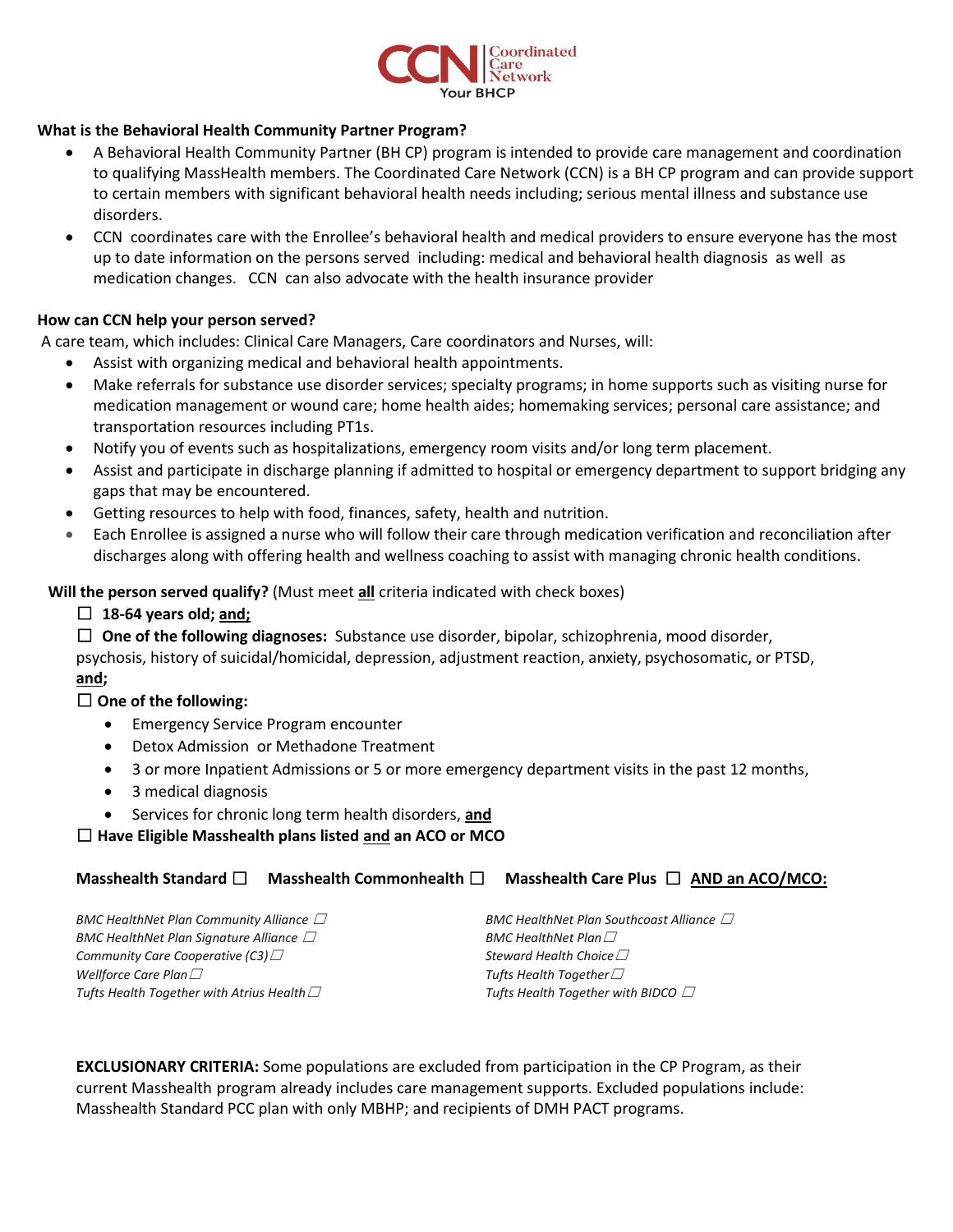

#### **What is the Behavioral Health Community Partner Program?**

- A Behavioral Health Community Partner (BH CP) program is intended to provide care management and coordination to qualifying MassHealth members. The Coordinated Care Network (CCN) is a BH CP program and can provide support to certain members with significant behavioral health needs including; serious mental illness and substance use disorders.
- CCN coordinates care with the Enrollee's behavioral health and medical providers to ensure everyone has the most up to date information on the persons served including: medical and behavioral health diagnosis as well as medication changes. CCN can also advocate with the health insurance provider

#### **How can CCN help your person served?**

A care team, which includes: Clinical Care Managers, Care coordinators and Nurses, will:

- Assist with organizing medical and behavioral health appointments.
- Make referrals for substance use disorder services; specialty programs; in home supports such as visiting nurse for medication management or wound care; home health aides; homemaking services; personal care assistance; and transportation resources including PT1s.
- Notify you of events such as hospitalizations, emergency room visits and/or long term placement.
- Assist and participate in discharge planning if admitted to hospital or emergency department to support bridging any gaps that may be encountered.
- Getting resources to help with food, finances, safety, health and nutrition.
- Each Enrollee is assigned a nurse who will follow their care through medication verification and reconciliation after discharges along with offering health and wellness coaching to assist with managing chronic health conditions.

#### **Will the person served qualify?** (Must meet **all** criteria indicated with check boxes)

☐ **18-64 years old; and;**

☐ **One of the following diagnoses:** Substance use disorder, bipolar, schizophrenia, mood disorder,

psychosis, history of suicidal/homicidal, depression, adjustment reaction, anxiety, psychosomatic, or PTSD, **and;**

## ☐ **One of the following:**

- **•** Emergency Service Program encounter
- Detox Admission or Methadone Treatment
- 3 or more Inpatient Admissions or 5 or more emergency department visits in the past 12 months,
- 3 medical diagnosis
- Services for chronic long term health disorders, **and**

## ☐ **Have Eligible Masshealth plans listed and an ACO or MCO**

## **Masshealth Standard** ☐ **Masshealth Commonhealth** ☐ **Masshealth Care Plus** ☐ **AND an ACO/MCO:**

| BMC HealthNet Plan Community Alliance $\vartriangle$ | BMC HealthNet Plan Southcoast Alliance $\Box$ |
|------------------------------------------------------|-----------------------------------------------|
| BMC HealthNet Plan Signature Alliance $\varXi$       | BMC HealthNet Plan $\Box$                     |
| Community Care Cooperative (C3) $\Box$               | Steward Health Choice $\Box$                  |
| Wellforce Care Plan $\Box$                           | Tufts Health Together $\Box$                  |
| Tufts Health Together with Atrius Health $\Box$      | Tufts Health Together with BIDCO $\Box$       |

**EXCLUSIONARY CRITERIA:** Some populations are excluded from participation in the CP Program, as their current Masshealth program already includes care management supports. Excluded populations include: Masshealth Standard PCC plan with only MBHP; and recipients of DMH PACT programs.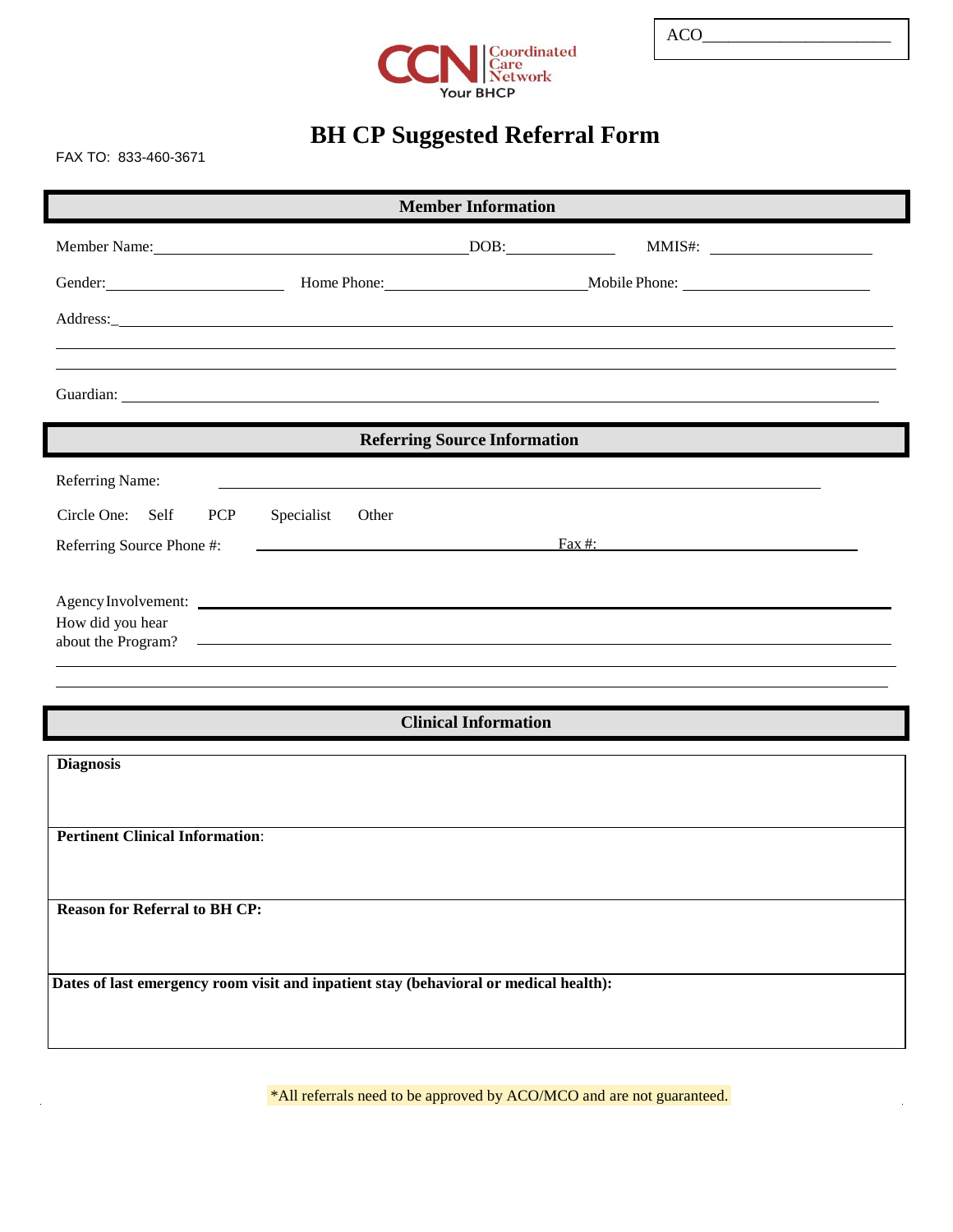

# **BH CP Suggested Referral Form**

FAX TO: 833-460-3671

| <b>Member Information</b>                                                             |                     |  |                  |  |  |  |  |
|---------------------------------------------------------------------------------------|---------------------|--|------------------|--|--|--|--|
|                                                                                       |                     |  |                  |  |  |  |  |
|                                                                                       |                     |  |                  |  |  |  |  |
|                                                                                       |                     |  |                  |  |  |  |  |
|                                                                                       |                     |  |                  |  |  |  |  |
|                                                                                       |                     |  |                  |  |  |  |  |
| <b>Referring Source Information</b>                                                   |                     |  |                  |  |  |  |  |
| Referring Name:                                                                       |                     |  |                  |  |  |  |  |
| Circle One: Self<br><b>PCP</b>                                                        | Specialist<br>Other |  |                  |  |  |  |  |
| Referring Source Phone #:                                                             |                     |  | $\text{Fax}\#$ : |  |  |  |  |
|                                                                                       |                     |  |                  |  |  |  |  |
| Agency Involvement:<br>How did you hear                                               |                     |  |                  |  |  |  |  |
| about the Program?                                                                    |                     |  |                  |  |  |  |  |
|                                                                                       |                     |  |                  |  |  |  |  |
| <b>Clinical Information</b>                                                           |                     |  |                  |  |  |  |  |
| <b>Diagnosis</b>                                                                      |                     |  |                  |  |  |  |  |
|                                                                                       |                     |  |                  |  |  |  |  |
| <b>Pertinent Clinical Information:</b>                                                |                     |  |                  |  |  |  |  |
|                                                                                       |                     |  |                  |  |  |  |  |
| <b>Reason for Referral to BH CP:</b>                                                  |                     |  |                  |  |  |  |  |
|                                                                                       |                     |  |                  |  |  |  |  |
|                                                                                       |                     |  |                  |  |  |  |  |
| Dates of last emergency room visit and inpatient stay (behavioral or medical health): |                     |  |                  |  |  |  |  |
|                                                                                       |                     |  |                  |  |  |  |  |
|                                                                                       |                     |  |                  |  |  |  |  |

\*All referrals need to be approved by ACO/MCO and are not guaranteed.